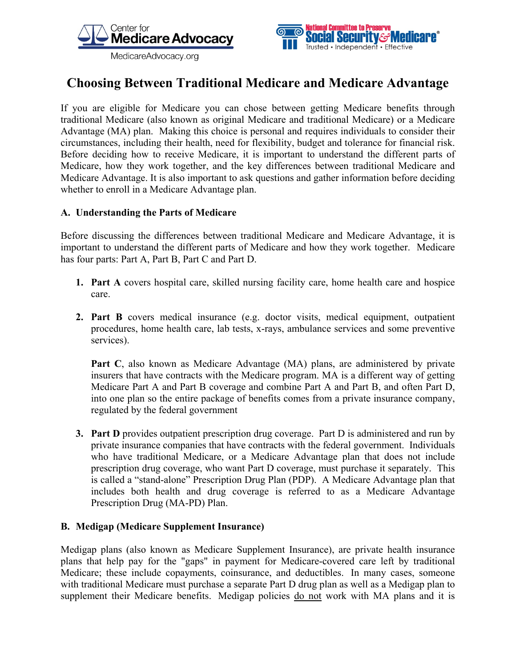



# **Choosing Between Traditional Medicare and Medicare Advantage**

If you are eligible for Medicare you can chose between getting Medicare benefits through traditional Medicare (also known as original Medicare and traditional Medicare) or a Medicare Advantage (MA) plan. Making this choice is personal and requires individuals to consider their circumstances, including their health, need for flexibility, budget and tolerance for financial risk. Before deciding how to receive Medicare, it is important to understand the different parts of Medicare, how they work together, and the key differences between traditional Medicare and Medicare Advantage. It is also important to ask questions and gather information before deciding whether to enroll in a Medicare Advantage plan.

## **A. Understanding the Parts of Medicare**

Before discussing the differences between traditional Medicare and Medicare Advantage, it is important to understand the different parts of Medicare and how they work together. Medicare has four parts: Part A, Part B, Part C and Part D.

- **1. Part A** covers hospital care, skilled nursing facility care, home health care and hospice care.
- **2. Part B** covers medical insurance (e.g. doctor visits, medical equipment, outpatient procedures, home health care, lab tests, x-rays, ambulance services and some preventive services).

**Part C**, also known as Medicare Advantage (MA) plans, are administered by private insurers that have contracts with the Medicare program. MA is a different way of getting Medicare Part A and Part B coverage and combine Part A and Part B, and often Part D, into one plan so the entire package of benefits comes from a private insurance company, regulated by the federal government

**3. Part D** provides outpatient prescription drug coverage. Part D is administered and run by private insurance companies that have contracts with the federal government. Individuals who have traditional Medicare, or a Medicare Advantage plan that does not include prescription drug coverage, who want Part D coverage, must purchase it separately. This is called a "stand-alone" Prescription Drug Plan (PDP). A Medicare Advantage plan that includes both health and drug coverage is referred to as a Medicare Advantage Prescription Drug (MA-PD) Plan.

#### **B. Medigap (Medicare Supplement Insurance)**

Medigap plans (also known as Medicare Supplement Insurance), are private health insurance plans that help pay for the "gaps" in payment for Medicare-covered care left by traditional Medicare; these include copayments, coinsurance, and deductibles. In many cases, someone with traditional Medicare must purchase a separate Part D drug plan as well as a Medigap plan to supplement their Medicare benefits. Medigap policies do not work with MA plans and it is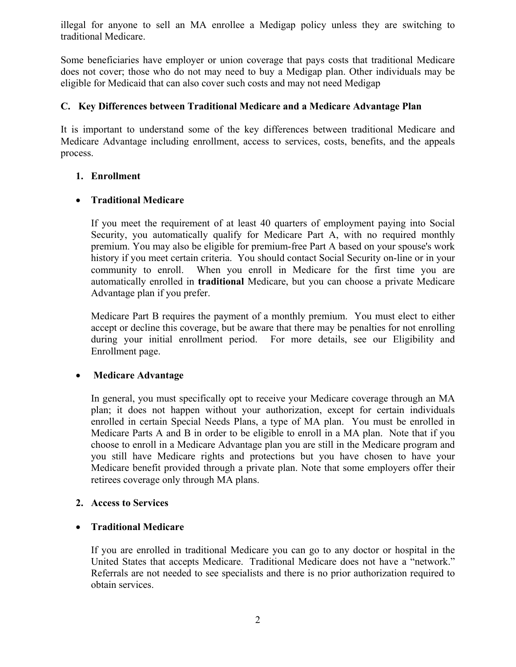illegal for anyone to sell an MA enrollee a Medigap policy unless they are switching to traditional Medicare.

Some beneficiaries have employer or union coverage that pays costs that traditional Medicare does not cover; those who do not may need to buy a Medigap plan. Other individuals may be eligible for Medicaid that can also cover such costs and may not need Medigap

## **C. Key Differences between Traditional Medicare and a Medicare Advantage Plan**

It is important to understand some of the key differences between traditional Medicare and Medicare Advantage including enrollment, access to services, costs, benefits, and the appeals process.

# **1. Enrollment**

# • **Traditional Medicare**

If you meet the requirement of at least 40 quarters of employment paying into Social Security, you automatically qualify for Medicare Part A, with no required monthly premium. You may also be eligible for premium-free Part A based on your spouse's work history if you meet certain criteria. You should contact Social Security on-line or in your community to enroll. When you enroll in Medicare for the first time you are automatically enrolled in **traditional** Medicare, but you can choose a private Medicare Advantage plan if you prefer.

Medicare Part B requires the payment of a monthly premium. You must elect to either accept or decline this coverage, but be aware that there may be penalties for not enrolling during your initial enrollment period. For more details, see our Eligibility and Enrollment page.

#### • **Medicare Advantage**

In general, you must specifically opt to receive your Medicare coverage through an MA plan; it does not happen without your authorization, except for certain individuals enrolled in certain Special Needs Plans, a type of MA plan. You must be enrolled in Medicare Parts A and B in order to be eligible to enroll in a MA plan. Note that if you choose to enroll in a Medicare Advantage plan you are still in the Medicare program and you still have Medicare rights and protections but you have chosen to have your Medicare benefit provided through a private plan. Note that some employers offer their retirees coverage only through MA plans.

#### **2. Access to Services**

# • **Traditional Medicare**

If you are enrolled in traditional Medicare you can go to any doctor or hospital in the United States that accepts Medicare. Traditional Medicare does not have a "network." Referrals are not needed to see specialists and there is no prior authorization required to obtain services.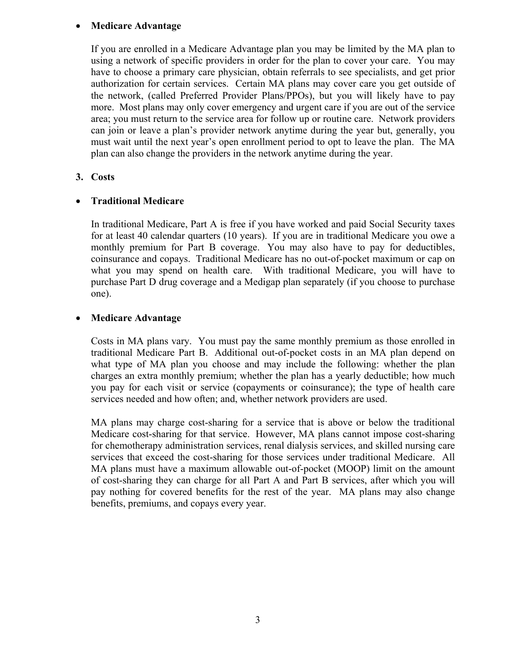## • **Medicare Advantage**

If you are enrolled in a Medicare Advantage plan you may be limited by the MA plan to using a network of specific providers in order for the plan to cover your care. You may have to choose a primary care physician, obtain referrals to see specialists, and get prior authorization for certain services. Certain MA plans may cover care you get outside of the network, (called Preferred Provider Plans/PPOs), but you will likely have to pay more. Most plans may only cover emergency and urgent care if you are out of the service area; you must return to the service area for follow up or routine care. Network providers can join or leave a plan's provider network anytime during the year but, generally, you must wait until the next year's open enrollment period to opt to leave the plan. The MA plan can also change the providers in the network anytime during the year.

#### **3. Costs**

# • **Traditional Medicare**

In traditional Medicare, Part A is free if you have worked and paid Social Security taxes for at least 40 calendar quarters (10 years). If you are in traditional Medicare you owe a monthly premium for Part B coverage. You may also have to pay for deductibles, coinsurance and copays. Traditional Medicare has no out-of-pocket maximum or cap on what you may spend on health care. With traditional Medicare, you will have to purchase Part D drug coverage and a Medigap plan separately (if you choose to purchase one).

## • **Medicare Advantage**

Costs in MA plans vary. You must pay the same monthly premium as those enrolled in traditional Medicare Part B. Additional out-of-pocket costs in an MA plan depend on what type of MA plan you choose and may include the following: whether the plan charges an extra monthly premium; whether the plan has a yearly deductible; how much you pay for each visit or service (copayments or coinsurance); the type of health care services needed and how often; and, whether network providers are used.

MA plans may charge cost-sharing for a service that is above or below the traditional Medicare cost-sharing for that service. However, MA plans cannot impose cost-sharing for chemotherapy administration services, renal dialysis services, and skilled nursing care services that exceed the cost-sharing for those services under traditional Medicare. All MA plans must have a maximum allowable out-of-pocket (MOOP) limit on the amount of cost-sharing they can charge for all Part A and Part B services, after which you will pay nothing for covered benefits for the rest of the year. MA plans may also change benefits, premiums, and copays every year.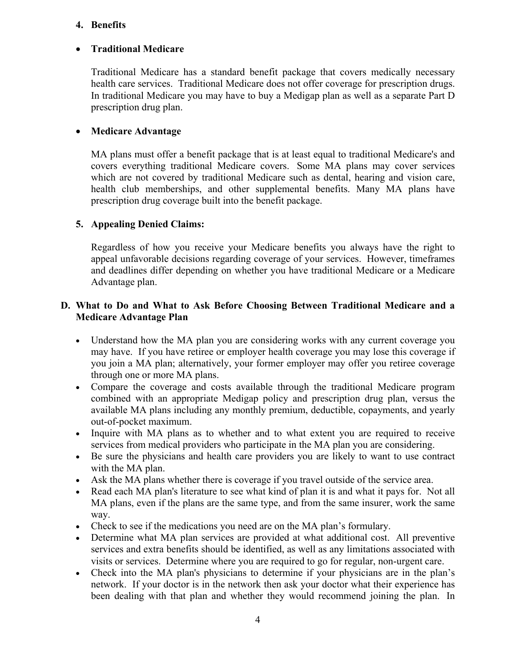#### **4. Benefits**

# • **Traditional Medicare**

Traditional Medicare has a standard benefit package that covers medically necessary health care services. Traditional Medicare does not offer coverage for prescription drugs. In traditional Medicare you may have to buy a Medigap plan as well as a separate Part D prescription drug plan.

## • **Medicare Advantage**

MA plans must offer a benefit package that is at least equal to traditional Medicare's and covers everything traditional Medicare covers. Some MA plans may cover services which are not covered by traditional Medicare such as dental, hearing and vision care, health club memberships, and other supplemental benefits. Many MA plans have prescription drug coverage built into the benefit package.

# **5. Appealing Denied Claims:**

Regardless of how you receive your Medicare benefits you always have the right to appeal unfavorable decisions regarding coverage of your services. However, timeframes and deadlines differ depending on whether you have traditional Medicare or a Medicare Advantage plan.

## **D. What to Do and What to Ask Before Choosing Between Traditional Medicare and a Medicare Advantage Plan**

- Understand how the MA plan you are considering works with any current coverage you may have. If you have retiree or employer health coverage you may lose this coverage if you join a MA plan; alternatively, your former employer may offer you retiree coverage through one or more MA plans.
- Compare the coverage and costs available through the traditional Medicare program combined with an appropriate Medigap policy and prescription drug plan, versus the available MA plans including any monthly premium, deductible, copayments, and yearly out-of-pocket maximum.
- Inquire with MA plans as to whether and to what extent you are required to receive services from medical providers who participate in the MA plan you are considering.
- Be sure the physicians and health care providers you are likely to want to use contract with the MA plan.
- Ask the MA plans whether there is coverage if you travel outside of the service area.
- Read each MA plan's literature to see what kind of plan it is and what it pays for. Not all MA plans, even if the plans are the same type, and from the same insurer, work the same way.
- Check to see if the medications you need are on the MA plan's formulary.
- Determine what MA plan services are provided at what additional cost. All preventive services and extra benefits should be identified, as well as any limitations associated with visits or services. Determine where you are required to go for regular, non-urgent care.
- Check into the MA plan's physicians to determine if your physicians are in the plan's network. If your doctor is in the network then ask your doctor what their experience has been dealing with that plan and whether they would recommend joining the plan. In